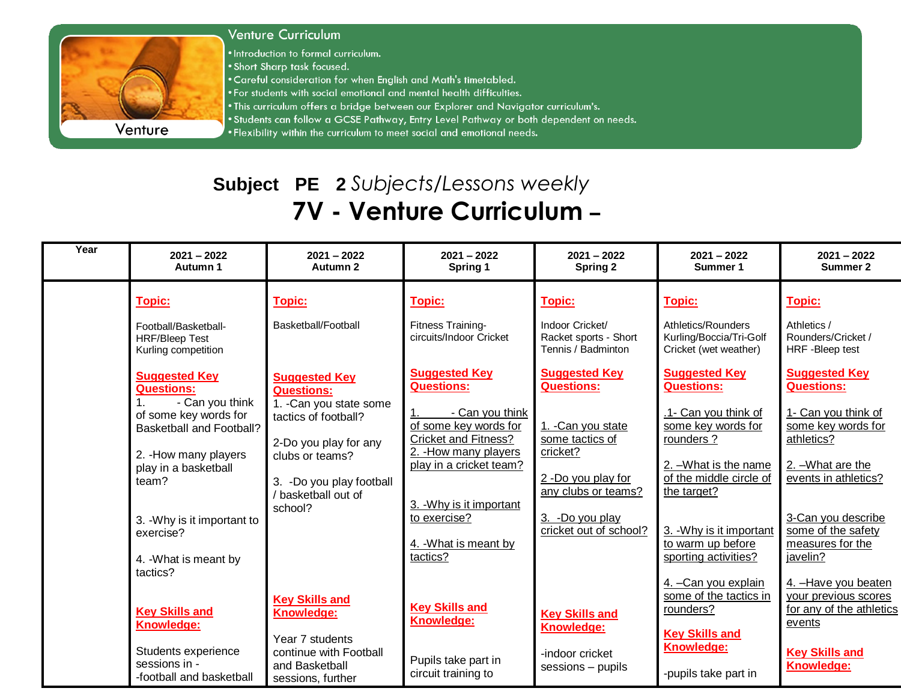

## **Venture Curriculum**

. Introduction to formal curriculum.

. Short Sharp task focused.

. Careful consideration for when English and Math's timetabled.

- . For students with social emotional and mental health difficulties.
- . This curriculum offers a bridge between our Explorer and Navigator curriculum's.
- . Students can follow a GCSE Pathway, Entry Level Pathway or both dependent on needs.

. Flexibility within the curriculum to meet social and emotional needs.

## Subject PE 2 Subjects/Lessons weekly 7V - Venture Curriculum -

| Year | $2021 - 2022$<br>Autumn 1                                                                                                                                                                                                                                           | $2021 - 2022$<br>Autumn 2                                                                                                                                                                              | $2021 - 2022$<br>Spring 1                                                                                                                                                                                                                                 | $2021 - 2022$<br>Spring 2                                                                                                                                                                | $2021 - 2022$<br>Summer 1                                                                                                                                                                                                                       | $2021 - 2022$<br>Summer 2                                                                                                                                                                                                     |
|------|---------------------------------------------------------------------------------------------------------------------------------------------------------------------------------------------------------------------------------------------------------------------|--------------------------------------------------------------------------------------------------------------------------------------------------------------------------------------------------------|-----------------------------------------------------------------------------------------------------------------------------------------------------------------------------------------------------------------------------------------------------------|------------------------------------------------------------------------------------------------------------------------------------------------------------------------------------------|-------------------------------------------------------------------------------------------------------------------------------------------------------------------------------------------------------------------------------------------------|-------------------------------------------------------------------------------------------------------------------------------------------------------------------------------------------------------------------------------|
|      | <b>Topic:</b><br>Football/Basketball-<br><b>HRF/Bleep Test</b><br>Kurling competition                                                                                                                                                                               | <b>Topic:</b><br>Basketball/Football                                                                                                                                                                   | <b>Topic:</b><br>Fitness Training-<br>circuits/Indoor Cricket                                                                                                                                                                                             | Topic:<br>Indoor Cricket/<br>Racket sports - Short<br>Tennis / Badminton                                                                                                                 | <u>Topic:</u><br>Athletics/Rounders<br>Kurling/Boccia/Tri-Golf<br>Cricket (wet weather)                                                                                                                                                         | Topic:<br>Athletics /<br>Rounders/Cricket /<br>HRF - Bleep test                                                                                                                                                               |
|      | <b>Suggested Key</b><br><b>Questions:</b><br>- Can you think<br>of some key words for<br><b>Basketball and Football?</b><br>2. - How many players<br>play in a basketball<br>team?<br>3. - Why is it important to<br>exercise?<br>4. - What is meant by<br>tactics? | <b>Suggested Key</b><br><b>Questions:</b><br>1. - Can you state some<br>tactics of football?<br>2-Do you play for any<br>clubs or teams?<br>3. -Do you play football<br>/ basketball out of<br>school? | <b>Suggested Key</b><br><b>Questions:</b><br>- Can you think<br>of some key words for<br><b>Cricket and Fitness?</b><br>2. - How many players<br>play in a cricket team?<br>3. - Why is it important<br>to exercise?<br>4. - What is meant by<br>tactics? | <b>Suggested Key</b><br><b>Questions:</b><br>1. - Can you state<br>some tactics of<br>cricket?<br>2 -Do you play for<br>any clubs or teams?<br>3. -Do you play<br>cricket out of school? | <b>Suggested Key</b><br><b>Questions:</b><br>1- Can you think of<br>some key words for<br>rounders?<br>2. - What is the name<br>of the middle circle of<br>the target?<br>3. - Why is it important<br>to warm up before<br>sporting activities? | <b>Suggested Key</b><br><b>Questions:</b><br>1- Can you think of<br>some key words for<br>athletics?<br>2. - What are the<br>events in athletics?<br>3-Can you describe<br>some of the safety<br>measures for the<br>javelin? |
|      | <b>Key Skills and</b><br>Knowledge:<br>Students experience<br>sessions in -<br>-football and basketball                                                                                                                                                             | <b>Key Skills and</b><br>Knowledge:<br>Year 7 students<br>continue with Football<br>and Basketball<br>sessions, further                                                                                | <b>Key Skills and</b><br>Knowledge:<br>Pupils take part in<br>circuit training to                                                                                                                                                                         | <b>Key Skills and</b><br><b>Knowledge:</b><br>-indoor cricket<br>sessions - pupils                                                                                                       | 4. - Can you explain<br>some of the tactics in<br>rounders?<br><b>Key Skills and</b><br><b>Knowledge:</b><br>-pupils take part in                                                                                                               | 4. - Have you beaten<br>your previous scores<br>for any of the athletics<br>events<br><b>Key Skills and</b><br>Knowledge:                                                                                                     |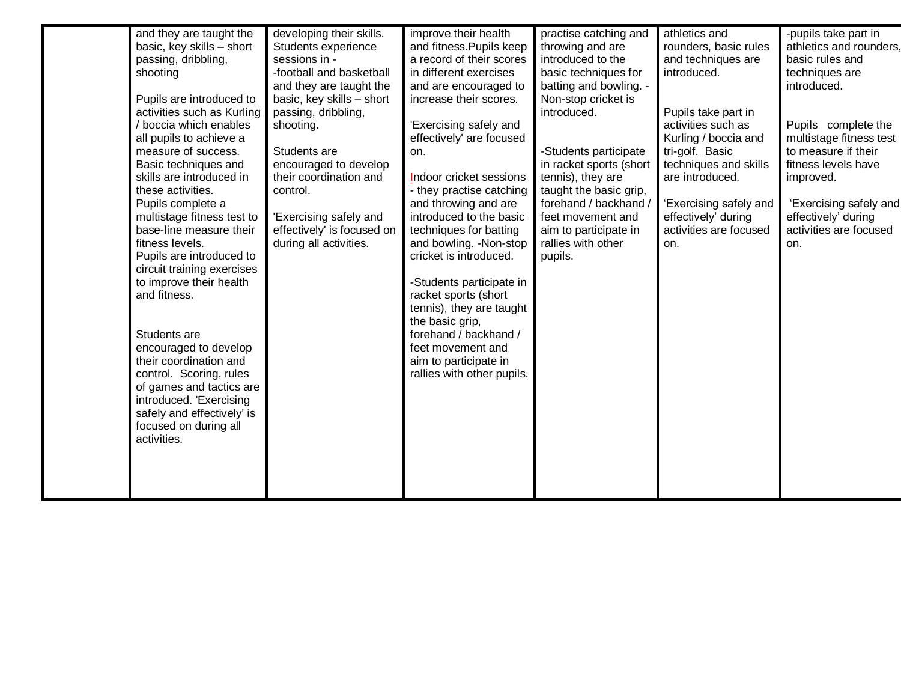| and they are taught the<br>basic, key skills - short<br>passing, dribbling,<br>shooting<br>Pupils are introduced to<br>activities such as Kurling<br>/ boccia which enables<br>all pupils to achieve a<br>measure of success.<br>Basic techniques and<br>skills are introduced in<br>these activities.<br>Pupils complete a<br>multistage fitness test to<br>base-line measure their<br>fitness levels.<br>Pupils are introduced to<br>circuit training exercises<br>to improve their health<br>and fitness.<br>Students are<br>encouraged to develop<br>their coordination and<br>control. Scoring, rules<br>of games and tactics are<br>introduced. 'Exercising<br>safely and effectively' is | developing their skills.<br>Students experience<br>sessions in -<br>-football and basketball<br>and they are taught the<br>basic, key skills - short<br>passing, dribbling,<br>shooting.<br>Students are<br>encouraged to develop<br>their coordination and<br>control.<br>'Exercising safely and<br>effectively' is focused on<br>during all activities. | improve their health<br>and fitness. Pupils keep<br>a record of their scores<br>in different exercises<br>and are encouraged to<br>increase their scores.<br>'Exercising safely and<br>effectively' are focused<br>on.<br>Indoor cricket sessions<br>- they practise catching<br>and throwing and are<br>introduced to the basic<br>techniques for batting<br>and bowling. - Non-stop<br>cricket is introduced.<br>-Students participate in<br>racket sports (short<br>tennis), they are taught<br>the basic grip,<br>forehand / backhand /<br>feet movement and<br>aim to participate in<br>rallies with other pupils. | practise catching and<br>throwing and are<br>introduced to the<br>basic techniques for<br>batting and bowling. -<br>Non-stop cricket is<br>introduced.<br>-Students participate<br>in racket sports (short<br>tennis), they are<br>taught the basic grip,<br>forehand / backhand /<br>feet movement and<br>aim to participate in<br>rallies with other<br>pupils. | athletics and<br>rounders, basic rules<br>and techniques are<br>introduced.<br>Pupils take part in<br>activities such as<br>Kurling / boccia and<br>tri-golf. Basic<br>techniques and skills<br>are introduced.<br>'Exercising safely and<br>effectively' during<br>activities are focused<br>on. | -pupils take part in<br>athletics and rounders,<br>basic rules and<br>techniques are<br>introduced.<br>Pupils complete the<br>multistage fitness test<br>to measure if their<br>fitness levels have<br>improved.<br>'Exercising safely and<br>effectively' during<br>activities are focused<br>on. |
|-------------------------------------------------------------------------------------------------------------------------------------------------------------------------------------------------------------------------------------------------------------------------------------------------------------------------------------------------------------------------------------------------------------------------------------------------------------------------------------------------------------------------------------------------------------------------------------------------------------------------------------------------------------------------------------------------|-----------------------------------------------------------------------------------------------------------------------------------------------------------------------------------------------------------------------------------------------------------------------------------------------------------------------------------------------------------|-------------------------------------------------------------------------------------------------------------------------------------------------------------------------------------------------------------------------------------------------------------------------------------------------------------------------------------------------------------------------------------------------------------------------------------------------------------------------------------------------------------------------------------------------------------------------------------------------------------------------|-------------------------------------------------------------------------------------------------------------------------------------------------------------------------------------------------------------------------------------------------------------------------------------------------------------------------------------------------------------------|---------------------------------------------------------------------------------------------------------------------------------------------------------------------------------------------------------------------------------------------------------------------------------------------------|----------------------------------------------------------------------------------------------------------------------------------------------------------------------------------------------------------------------------------------------------------------------------------------------------|
| focused on during all<br>activities.                                                                                                                                                                                                                                                                                                                                                                                                                                                                                                                                                                                                                                                            |                                                                                                                                                                                                                                                                                                                                                           |                                                                                                                                                                                                                                                                                                                                                                                                                                                                                                                                                                                                                         |                                                                                                                                                                                                                                                                                                                                                                   |                                                                                                                                                                                                                                                                                                   |                                                                                                                                                                                                                                                                                                    |